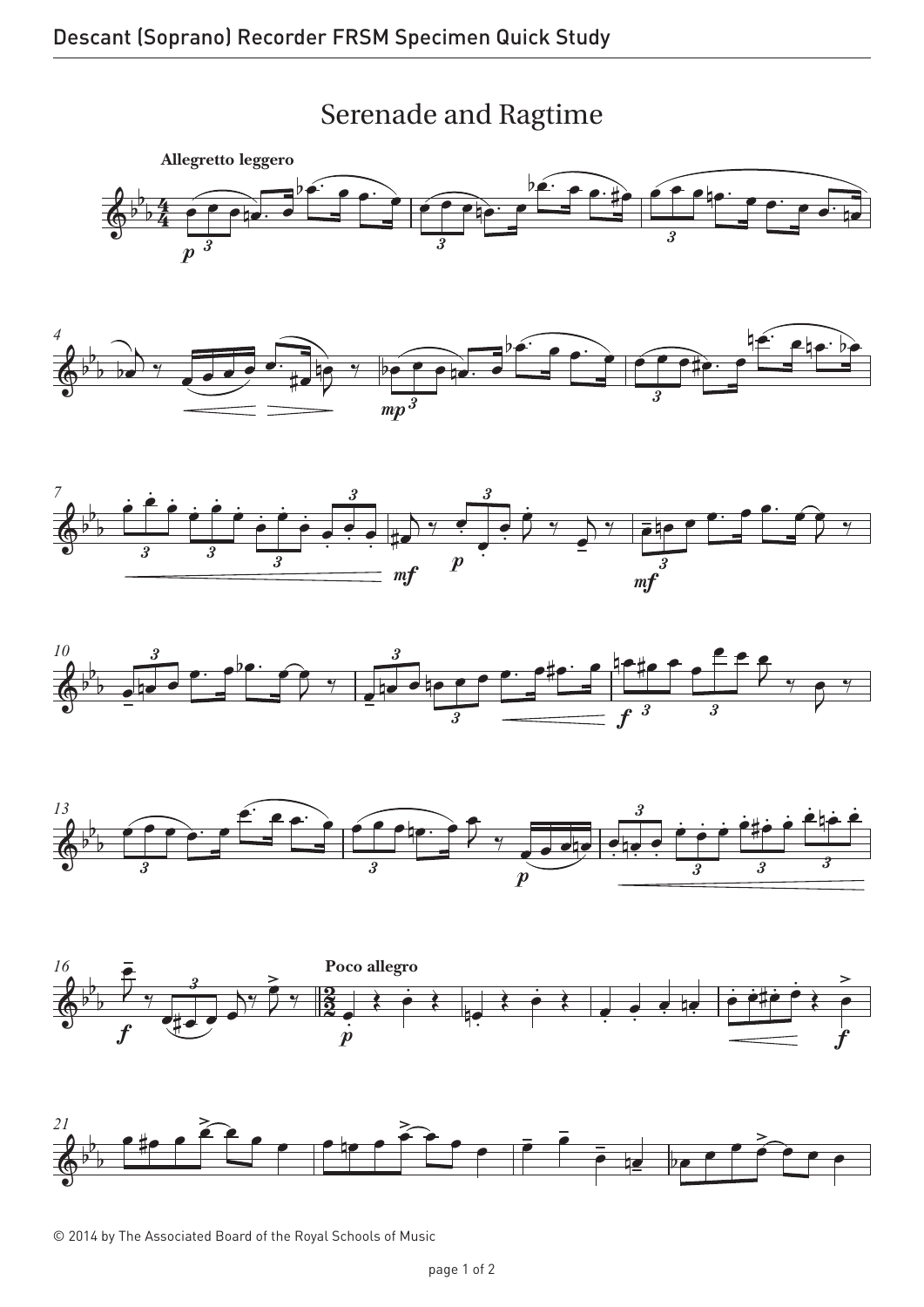## Serenade and Ragtime Serenade and Ragtime















© 2014 by The Associated Board of the Royal Schools of Music